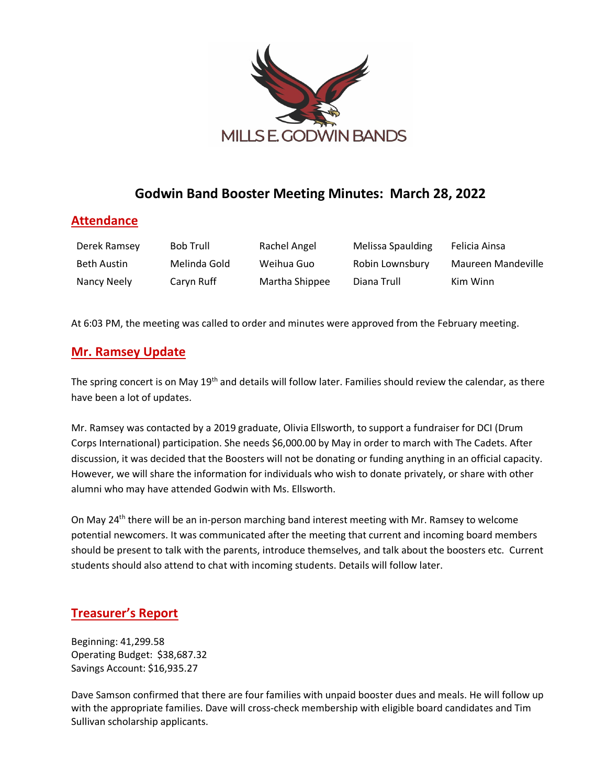

# **Godwin Band Booster Meeting Minutes: March 28, 2022**

### **Attendance**

| Derek Ramsey | <b>Bob Trull</b> | Rachel Angel   | Melissa Spaulding | Felicia Ainsa      |
|--------------|------------------|----------------|-------------------|--------------------|
| Beth Austin  | Melinda Gold     | Weihua Guo     | Robin Lownsbury   | Maureen Mandeville |
| Nancy Neely  | Caryn Ruff       | Martha Shippee | Diana Trull       | Kim Winn           |

At 6:03 PM, the meeting was called to order and minutes were approved from the February meeting.

### **Mr. Ramsey Update**

The spring concert is on May 19<sup>th</sup> and details will follow later. Families should review the calendar, as there have been a lot of updates.

Mr. Ramsey was contacted by a 2019 graduate, Olivia Ellsworth, to support a fundraiser for DCI (Drum Corps International) participation. She needs \$6,000.00 by May in order to march with The Cadets. After discussion, it was decided that the Boosters will not be donating or funding anything in an official capacity. However, we will share the information for individuals who wish to donate privately, or share with other alumni who may have attended Godwin with Ms. Ellsworth.

On May 24th there will be an in-person marching band interest meeting with Mr. Ramsey to welcome potential newcomers. It was communicated after the meeting that current and incoming board members should be present to talk with the parents, introduce themselves, and talk about the boosters etc. Current students should also attend to chat with incoming students. Details will follow later.

## **Treasurer's Report**

Beginning: 41,299.58 Operating Budget: \$38,687.32 Savings Account: \$16,935.27

Dave Samson confirmed that there are four families with unpaid booster dues and meals. He will follow up with the appropriate families. Dave will cross-check membership with eligible board candidates and Tim Sullivan scholarship applicants.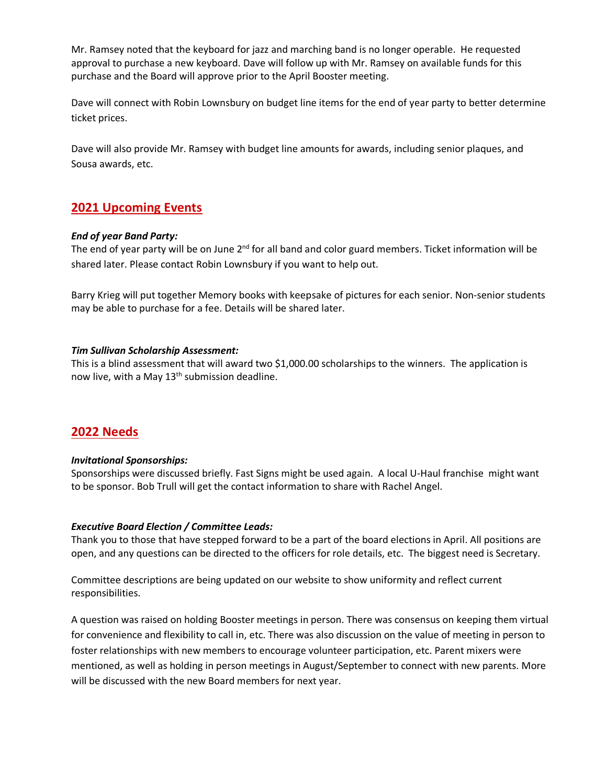Mr. Ramsey noted that the keyboard for jazz and marching band is no longer operable. He requested approval to purchase a new keyboard. Dave will follow up with Mr. Ramsey on available funds for this purchase and the Board will approve prior to the April Booster meeting.

Dave will connect with Robin Lownsbury on budget line items for the end of year party to better determine ticket prices.

Dave will also provide Mr. Ramsey with budget line amounts for awards, including senior plaques, and Sousa awards, etc.

### **2021 Upcoming Events**

#### *End of year Band Party:*

The end of year party will be on June  $2^{nd}$  for all band and color guard members. Ticket information will be shared later. Please contact Robin Lownsbury if you want to help out.

Barry Krieg will put together Memory books with keepsake of pictures for each senior. Non-senior students may be able to purchase for a fee. Details will be shared later.

#### *Tim Sullivan Scholarship Assessment:*

This is a blind assessment that will award two \$1,000.00 scholarships to the winners. The application is now live, with a May  $13<sup>th</sup>$  submission deadline.

### **2022 Needs**

#### *Invitational Sponsorships:*

Sponsorships were discussed briefly. Fast Signs might be used again. A local U-Haul franchise might want to be sponsor. Bob Trull will get the contact information to share with Rachel Angel.

#### *Executive Board Election / Committee Leads:*

Thank you to those that have stepped forward to be a part of the board elections in April. All positions are open, and any questions can be directed to the officers for role details, etc. The biggest need is Secretary.

Committee descriptions are being updated on our website to show uniformity and reflect current responsibilities.

A question was raised on holding Booster meetings in person. There was consensus on keeping them virtual for convenience and flexibility to call in, etc. There was also discussion on the value of meeting in person to foster relationships with new members to encourage volunteer participation, etc. Parent mixers were mentioned, as well as holding in person meetings in August/September to connect with new parents. More will be discussed with the new Board members for next year.